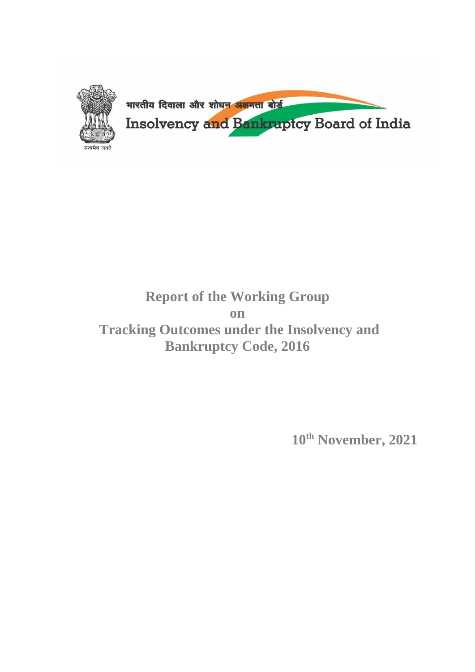

# **Report of the Working Group on Tracking Outcomes under the Insolvency and Bankruptcy Code, 2016**

**10th November, 2021**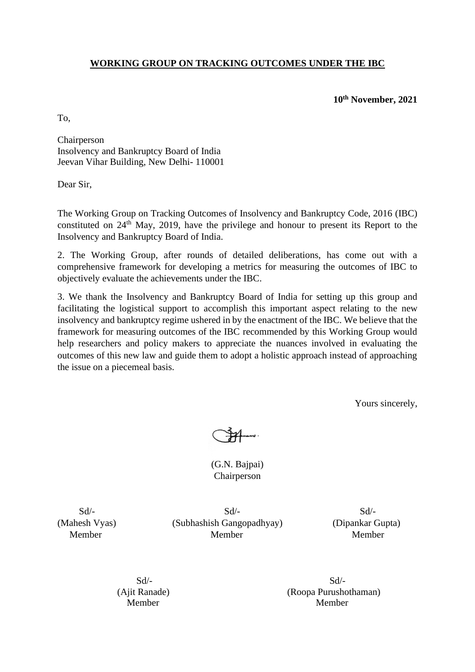### **WORKING GROUP ON TRACKING OUTCOMES UNDER THE IBC**

**10th November, 2021**

To,

Chairperson Insolvency and Bankruptcy Board of India Jeevan Vihar Building, New Delhi- 110001

Dear Sir,

The Working Group on Tracking Outcomes of Insolvency and Bankruptcy Code, 2016 (IBC) constituted on  $24<sup>th</sup>$  May, 2019, have the privilege and honour to present its Report to the Insolvency and Bankruptcy Board of India.

2. The Working Group, after rounds of detailed deliberations, has come out with a comprehensive framework for developing a metrics for measuring the outcomes of IBC to objectively evaluate the achievements under the IBC.

3. We thank the Insolvency and Bankruptcy Board of India for setting up this group and facilitating the logistical support to accomplish this important aspect relating to the new insolvency and bankruptcy regime ushered in by the enactment of the IBC. We believe that the framework for measuring outcomes of the IBC recommended by this Working Group would help researchers and policy makers to appreciate the nuances involved in evaluating the outcomes of this new law and guide them to adopt a holistic approach instead of approaching the issue on a piecemeal basis.

Yours sincerely,

(G.N. Bajpai) Chairperson

 $Sd$ - $Sd$ - $Sd$ -(Mahesh Vyas) (Subhashish Gangopadhyay) (Dipankar Gupta) Member Member Member

 $Sd$ - $Sd$ -(Ajit Ranade) (Roopa Purushothaman) Member Member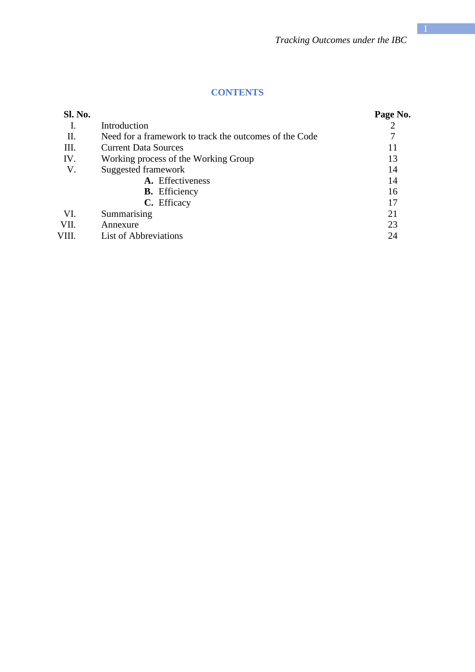### **CONTENTS**

| <b>Sl. No.</b> |                                                        | Page No. |
|----------------|--------------------------------------------------------|----------|
|                | Introduction                                           |          |
| П.             | Need for a framework to track the outcomes of the Code |          |
| Ш.             | <b>Current Data Sources</b>                            | 11       |
| IV.            | Working process of the Working Group                   | 13       |
| V.             | Suggested framework                                    | 14       |
|                | A. Effectiveness                                       | 14       |
|                | <b>B.</b> Efficiency                                   | 16       |
|                | C. Efficacy                                            | 17       |
| VI.            | Summarising                                            | 21       |
| VII.           | Annexure                                               | 23       |
| VIII.          | List of Abbreviations                                  | 24       |
|                |                                                        |          |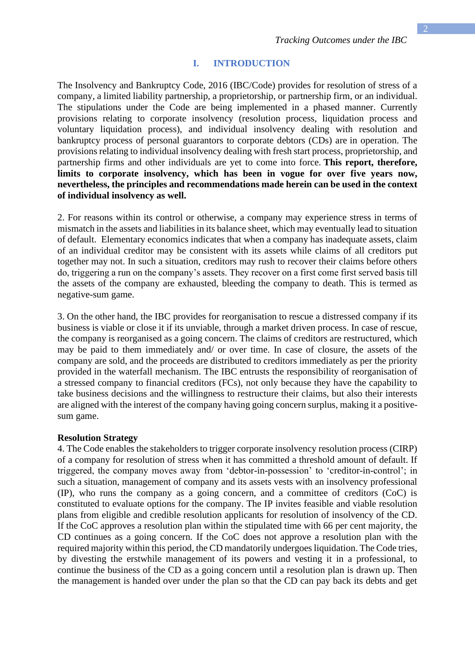#### **I. INTRODUCTION**

The Insolvency and Bankruptcy Code, 2016 (IBC/Code) provides for resolution of stress of a company, a limited liability partnership, a proprietorship, or partnership firm, or an individual. The stipulations under the Code are being implemented in a phased manner. Currently provisions relating to corporate insolvency (resolution process, liquidation process and voluntary liquidation process), and individual insolvency dealing with resolution and bankruptcy process of personal guarantors to corporate debtors (CDs) are in operation. The provisions relating to individual insolvency dealing with fresh start process, proprietorship, and partnership firms and other individuals are yet to come into force. **This report, therefore, limits to corporate insolvency, which has been in vogue for over five years now, nevertheless, the principles and recommendations made herein can be used in the context of individual insolvency as well.**

2. For reasons within its control or otherwise, a company may experience stress in terms of mismatch in the assets and liabilities in its balance sheet, which may eventually lead to situation of default. Elementary economics indicates that when a company has inadequate assets, claim of an individual creditor may be consistent with its assets while claims of all creditors put together may not. In such a situation, creditors may rush to recover their claims before others do, triggering a run on the company's assets. They recover on a first come first served basis till the assets of the company are exhausted, bleeding the company to death. This is termed as negative-sum game.

3. On the other hand, the IBC provides for reorganisation to rescue a distressed company if its business is viable or close it if its unviable, through a market driven process. In case of rescue, the company is reorganised as a going concern. The claims of creditors are restructured, which may be paid to them immediately and/ or over time. In case of closure, the assets of the company are sold, and the proceeds are distributed to creditors immediately as per the priority provided in the waterfall mechanism. The IBC entrusts the responsibility of reorganisation of a stressed company to financial creditors (FCs), not only because they have the capability to take business decisions and the willingness to restructure their claims, but also their interests are aligned with the interest of the company having going concern surplus, making it a positivesum game.

#### **Resolution Strategy**

4. The Code enables the stakeholders to trigger corporate insolvency resolution process (CIRP) of a company for resolution of stress when it has committed a threshold amount of default. If triggered, the company moves away from 'debtor-in-possession' to 'creditor-in-control'; in such a situation, management of company and its assets vests with an insolvency professional (IP), who runs the company as a going concern, and a committee of creditors (CoC) is constituted to evaluate options for the company. The IP invites feasible and viable resolution plans from eligible and credible resolution applicants for resolution of insolvency of the CD. If the CoC approves a resolution plan within the stipulated time with 66 per cent majority, the CD continues as a going concern. If the CoC does not approve a resolution plan with the required majority within this period, the CD mandatorily undergoes liquidation. The Code tries, by divesting the erstwhile management of its powers and vesting it in a professional, to continue the business of the CD as a going concern until a resolution plan is drawn up. Then the management is handed over under the plan so that the CD can pay back its debts and get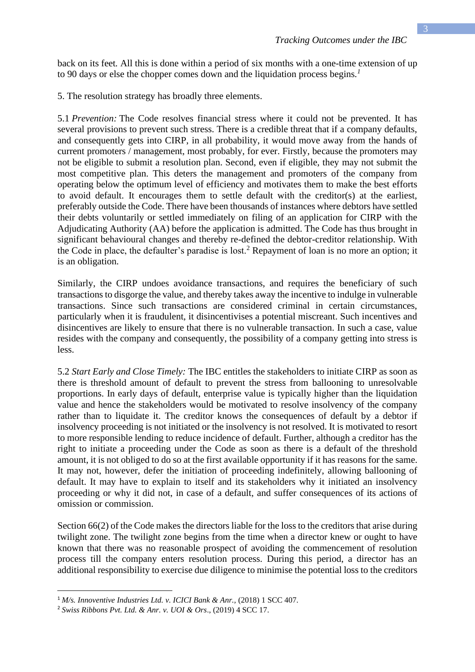back on its feet*.* All this is done within a period of six months with a one-time extension of up to 90 days or else the chopper comes down and the liquidation process begins*. 1*

5. The resolution strategy has broadly three elements.

5.1 *Prevention:* The Code resolves financial stress where it could not be prevented. It has several provisions to prevent such stress. There is a credible threat that if a company defaults, and consequently gets into CIRP, in all probability, it would move away from the hands of current promoters / management, most probably, for ever. Firstly, because the promoters may not be eligible to submit a resolution plan. Second, even if eligible, they may not submit the most competitive plan. This deters the management and promoters of the company from operating below the optimum level of efficiency and motivates them to make the best efforts to avoid default. It encourages them to settle default with the creditor(s) at the earliest, preferably outside the Code. There have been thousands of instances where debtors have settled their debts voluntarily or settled immediately on filing of an application for CIRP with the Adjudicating Authority (AA) before the application is admitted. The Code has thus brought in significant behavioural changes and thereby re-defined the debtor-creditor relationship. With the Code in place, the defaulter's paradise is lost.<sup>2</sup> Repayment of loan is no more an option; it is an obligation.

Similarly, the CIRP undoes avoidance transactions, and requires the beneficiary of such transactions to disgorge the value, and thereby takes away the incentive to indulge in vulnerable transactions. Since such transactions are considered criminal in certain circumstances, particularly when it is fraudulent, it disincentivises a potential miscreant. Such incentives and disincentives are likely to ensure that there is no vulnerable transaction. In such a case, value resides with the company and consequently, the possibility of a company getting into stress is less.

5.2 *Start Early and Close Timely:* The IBC entitles the stakeholders to initiate CIRP as soon as there is threshold amount of default to prevent the stress from ballooning to unresolvable proportions. In early days of default, enterprise value is typically higher than the liquidation value and hence the stakeholders would be motivated to resolve insolvency of the company rather than to liquidate it. The creditor knows the consequences of default by a debtor if insolvency proceeding is not initiated or the insolvency is not resolved. It is motivated to resort to more responsible lending to reduce incidence of default. Further, although a creditor has the right to initiate a proceeding under the Code as soon as there is a default of the threshold amount, it is not obliged to do so at the first available opportunity if it has reasons for the same. It may not, however, defer the initiation of proceeding indefinitely, allowing ballooning of default. It may have to explain to itself and its stakeholders why it initiated an insolvency proceeding or why it did not, in case of a default, and suffer consequences of its actions of omission or commission.

Section 66(2) of the Code makes the directors liable for the loss to the creditors that arise during twilight zone. The twilight zone begins from the time when a director knew or ought to have known that there was no reasonable prospect of avoiding the commencement of resolution process till the company enters resolution process. During this period, a director has an additional responsibility to exercise due diligence to minimise the potential loss to the creditors

<sup>&</sup>lt;sup>1</sup> *M/s. Innoventive Industries Ltd. v. ICICI Bank & Anr., (2018)* 1 SCC 407.

<sup>2</sup> *Swiss Ribbons Pvt. Ltd. & Anr. v. UOI & Ors*., (2019) 4 SCC 17.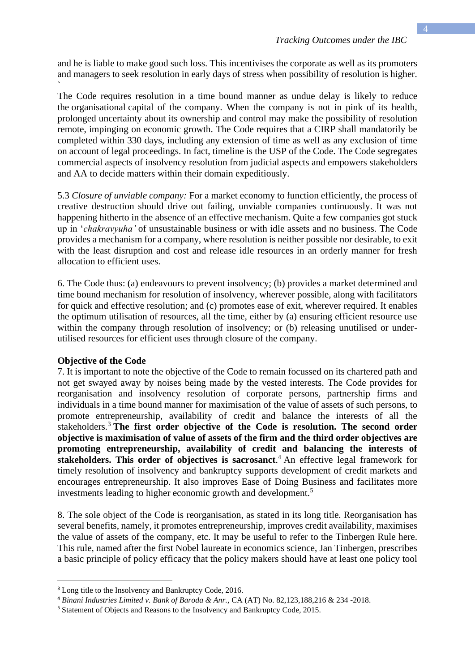and he is liable to make good such loss. This incentivises the corporate as well as its promoters and managers to seek resolution in early days of stress when possibility of resolution is higher.

The Code requires resolution in a time bound manner as undue delay is likely to reduce the organisational capital of the company. When the company is not in pink of its health, prolonged uncertainty about its ownership and control may make the possibility of resolution remote, impinging on economic growth. The Code requires that a CIRP shall mandatorily be completed within 330 days, including any extension of time as well as any exclusion of time on account of legal proceedings. In fact, timeline is the USP of the Code. The Code segregates commercial aspects of insolvency resolution from judicial aspects and empowers stakeholders and AA to decide matters within their domain expeditiously.

5.3 *Closure of unviable company:* For a market economy to function efficiently, the process of creative destruction should drive out failing, unviable companies continuously. It was not happening hitherto in the absence of an effective mechanism. Quite a few companies got stuck up in '*chakravyuha'* of unsustainable business or with idle assets and no business. The Code provides a mechanism for a company, where resolution is neither possible nor desirable, to exit with the least disruption and cost and release idle resources in an orderly manner for fresh allocation to efficient uses.

6. The Code thus: (a) endeavours to prevent insolvency; (b) provides a market determined and time bound mechanism for resolution of insolvency, wherever possible, along with facilitators for quick and effective resolution; and (c) promotes ease of exit, wherever required. It enables the optimum utilisation of resources, all the time, either by (a) ensuring efficient resource use within the company through resolution of insolvency; or (b) releasing unutilised or underutilised resources for efficient uses through closure of the company.

#### **Objective of the Code**

`

7. It is important to note the objective of the Code to remain focussed on its chartered path and not get swayed away by noises being made by the vested interests. The Code provides for reorganisation and insolvency resolution of corporate persons, partnership firms and individuals in a time bound manner for maximisation of the value of assets of such persons, to promote entrepreneurship, availability of credit and balance the interests of all the stakeholders.<sup>3</sup> **The first order objective of the Code is resolution. The second order objective is maximisation of value of assets of the firm and the third order objectives are promoting entrepreneurship, availability of credit and balancing the interests of stakeholders. This order of objectives is sacrosanct**. <sup>4</sup> An effective legal framework for timely resolution of insolvency and bankruptcy supports development of credit markets and encourages entrepreneurship. It also improves Ease of Doing Business and facilitates more investments leading to higher economic growth and development.<sup>5</sup>

8. The sole object of the Code is reorganisation, as stated in its long title. Reorganisation has several benefits, namely, it promotes entrepreneurship, improves credit availability, maximises the value of assets of the company, etc. It may be useful to refer to the Tinbergen Rule here. This rule, named after the first Nobel laureate in economics science, Jan Tinbergen, prescribes a basic principle of policy efficacy that the policy makers should have at least one policy tool

<sup>&</sup>lt;sup>3</sup> Long title to the Insolvency and Bankruptcy Code, 2016.

<sup>4</sup> *Binani Industries Limited v. Bank of Baroda & Anr.,* CA (AT) No. 82,123,188,216 & 234 -2018.

<sup>5</sup> Statement of Objects and Reasons to the Insolvency and Bankruptcy Code, 2015.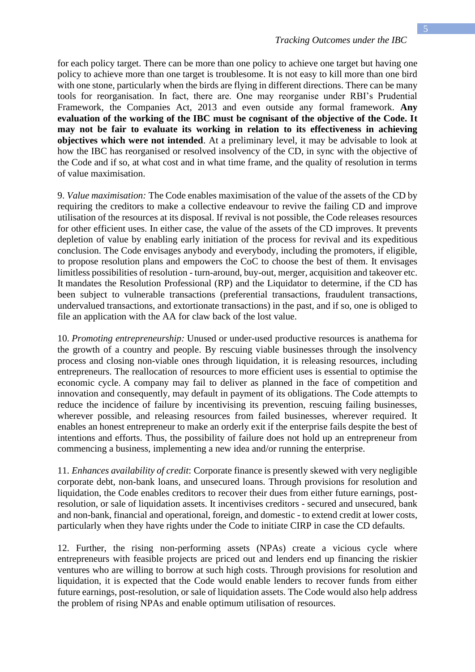for each policy target. There can be more than one policy to achieve one target but having one policy to achieve more than one target is troublesome. It is not easy to kill more than one bird with one stone, particularly when the birds are flying in different directions. There can be many tools for reorganisation. In fact, there are. One may reorganise under RBI's Prudential Framework, the Companies Act, 2013 and even outside any formal framework. **Any evaluation of the working of the IBC must be cognisant of the objective of the Code. It may not be fair to evaluate its working in relation to its effectiveness in achieving objectives which were not intended**. At a preliminary level, it may be advisable to look at how the IBC has reorganised or resolved insolvency of the CD, in sync with the objective of the Code and if so, at what cost and in what time frame, and the quality of resolution in terms of value maximisation.

9. *Value maximisation:* The Code enables maximisation of the value of the assets of the CD by requiring the creditors to make a collective endeavour to revive the failing CD and improve utilisation of the resources at its disposal. If revival is not possible, the Code releases resources for other efficient uses. In either case, the value of the assets of the CD improves. It prevents depletion of value by enabling early initiation of the process for revival and its expeditious conclusion. The Code envisages anybody and everybody, including the promoters, if eligible, to propose resolution plans and empowers the CoC to choose the best of them. It envisages limitless possibilities of resolution - turn-around, buy-out, merger, acquisition and takeover etc. It mandates the Resolution Professional (RP) and the Liquidator to determine, if the CD has been subject to vulnerable transactions (preferential transactions, fraudulent transactions, undervalued transactions, and extortionate transactions) in the past, and if so, one is obliged to file an application with the AA for claw back of the lost value.

10. *Promoting entrepreneurship:* Unused or under-used productive resources is anathema for the growth of a country and people. By rescuing viable businesses through the insolvency process and closing non-viable ones through liquidation, it is releasing resources, including entrepreneurs. The reallocation of resources to more efficient uses is essential to optimise the economic cycle. A company may fail to deliver as planned in the face of competition and innovation and consequently, may default in payment of its obligations. The Code attempts to reduce the incidence of failure by incentivising its prevention, rescuing failing businesses, wherever possible, and releasing resources from failed businesses, wherever required. It enables an honest entrepreneur to make an orderly exit if the enterprise fails despite the best of intentions and efforts. Thus, the possibility of failure does not hold up an entrepreneur from commencing a business, implementing a new idea and/or running the enterprise.

11. *Enhances availability of credit*: Corporate finance is presently skewed with very negligible corporate debt, non-bank loans, and unsecured loans. Through provisions for resolution and liquidation, the Code enables creditors to recover their dues from either future earnings, postresolution, or sale of liquidation assets. It incentivises creditors - secured and unsecured, bank and non-bank, financial and operational, foreign, and domestic - to extend credit at lower costs, particularly when they have rights under the Code to initiate CIRP in case the CD defaults.

12. Further, the rising non-performing assets (NPAs) create a vicious cycle where entrepreneurs with feasible projects are priced out and lenders end up financing the riskier ventures who are willing to borrow at such high costs. Through provisions for resolution and liquidation, it is expected that the Code would enable lenders to recover funds from either future earnings, post-resolution, or sale of liquidation assets. The Code would also help address the problem of rising NPAs and enable optimum utilisation of resources.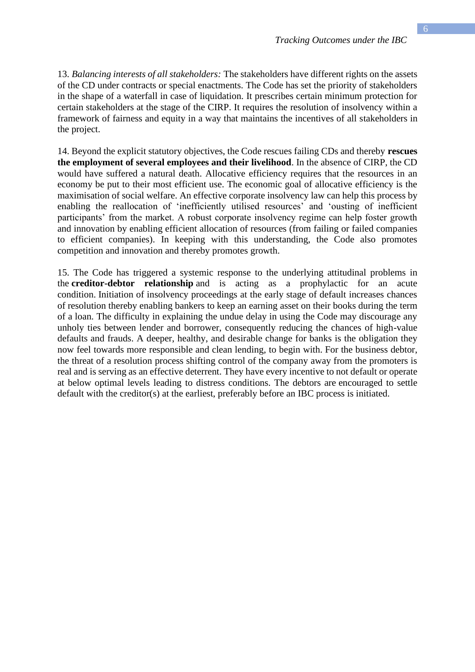13. *Balancing interests of all stakeholders:* The stakeholders have different rights on the assets of the CD under contracts or special enactments. The Code has set the priority of stakeholders in the shape of a waterfall in case of liquidation. It prescribes certain minimum protection for certain stakeholders at the stage of the CIRP. It requires the resolution of insolvency within a framework of fairness and equity in a way that maintains the incentives of all stakeholders in the project.

14. Beyond the explicit statutory objectives, the Code rescues failing CDs and thereby **rescues the employment of several employees and their livelihood**. In the absence of CIRP, the CD would have suffered a natural death. Allocative efficiency requires that the resources in an economy be put to their most efficient use. The economic goal of allocative efficiency is the maximisation of social welfare. An effective corporate insolvency law can help this process by enabling the reallocation of 'inefficiently utilised resources' and 'ousting of inefficient participants' from the market. A robust corporate insolvency regime can help foster growth and innovation by enabling efficient allocation of resources (from failing or failed companies to efficient companies). In keeping with this understanding, the Code also promotes competition and innovation and thereby promotes growth.

15. The Code has triggered a systemic response to the underlying attitudinal problems in the **creditor-debtor relationship** and is acting as a prophylactic for an acute condition. Initiation of insolvency proceedings at the early stage of default increases chances of resolution thereby enabling bankers to keep an earning asset on their books during the term of a loan. The difficulty in explaining the undue delay in using the Code may discourage any unholy ties between lender and borrower, consequently reducing the chances of high-value defaults and frauds. A deeper, healthy, and desirable change for banks is the obligation they now feel towards more responsible and clean lending, to begin with. For the business debtor, the threat of a resolution process shifting control of the company away from the promoters is real and is serving as an effective deterrent. They have every incentive to not default or operate at below optimal levels leading to distress conditions. The debtors are encouraged to settle default with the creditor(s) at the earliest, preferably before an IBC process is initiated.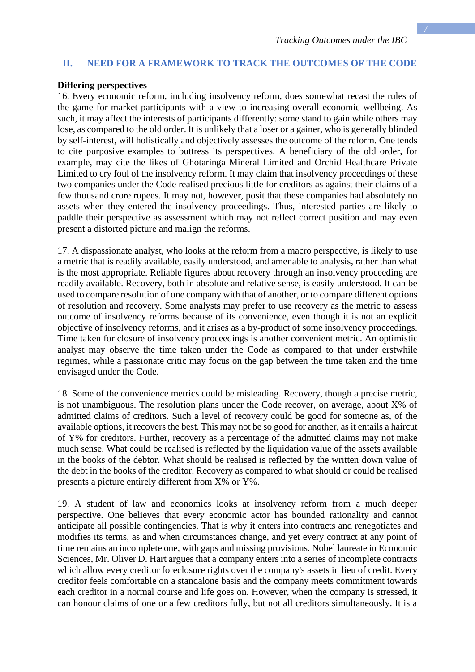#### **II. NEED FOR A FRAMEWORK TO TRACK THE OUTCOMES OF THE CODE**

#### **Differing perspectives**

16. Every economic reform, including insolvency reform, does somewhat recast the rules of the game for market participants with a view to increasing overall economic wellbeing. As such, it may affect the interests of participants differently: some stand to gain while others may lose, as compared to the old order. It is unlikely that a loser or a gainer, who is generally blinded by self-interest, will holistically and objectively assesses the outcome of the reform. One tends to cite purposive examples to buttress its perspectives. A beneficiary of the old order, for example, may cite the likes of Ghotaringa Mineral Limited and Orchid Healthcare Private Limited to cry foul of the insolvency reform. It may claim that insolvency proceedings of these two companies under the Code realised precious little for creditors as against their claims of a few thousand crore rupees. It may not, however, posit that these companies had absolutely no assets when they entered the insolvency proceedings. Thus, interested parties are likely to paddle their perspective as assessment which may not reflect correct position and may even present a distorted picture and malign the reforms.

17. A dispassionate analyst, who looks at the reform from a macro perspective, is likely to use a metric that is readily available, easily understood, and amenable to analysis, rather than what is the most appropriate. Reliable figures about recovery through an insolvency proceeding are readily available. Recovery, both in absolute and relative sense, is easily understood. It can be used to compare resolution of one company with that of another, or to compare different options of resolution and recovery. Some analysts may prefer to use recovery as the metric to assess outcome of insolvency reforms because of its convenience, even though it is not an explicit objective of insolvency reforms, and it arises as a by-product of some insolvency proceedings. Time taken for closure of insolvency proceedings is another convenient metric. An optimistic analyst may observe the time taken under the Code as compared to that under erstwhile regimes, while a passionate critic may focus on the gap between the time taken and the time envisaged under the Code.

18. Some of the convenience metrics could be misleading. Recovery, though a precise metric, is not unambiguous. The resolution plans under the Code recover, on average, about X% of admitted claims of creditors. Such a level of recovery could be good for someone as, of the available options, it recovers the best. This may not be so good for another, as it entails a haircut of Y% for creditors. Further, recovery as a percentage of the admitted claims may not make much sense. What could be realised is reflected by the liquidation value of the assets available in the books of the debtor. What should be realised is reflected by the written down value of the debt in the books of the creditor. Recovery as compared to what should or could be realised presents a picture entirely different from X% or Y%.

19. A student of law and economics looks at insolvency reform from a much deeper perspective. One believes that every economic actor has bounded rationality and cannot anticipate all possible contingencies. That is why it enters into contracts and renegotiates and modifies its terms, as and when circumstances change, and yet every contract at any point of time remains an incomplete one, with gaps and missing provisions. Nobel laureate in Economic Sciences, Mr. Oliver D. Hart argues that a company enters into a series of incomplete contracts which allow every creditor foreclosure rights over the company's assets in lieu of credit. Every creditor feels comfortable on a standalone basis and the company meets commitment towards each creditor in a normal course and life goes on. However, when the company is stressed, it can honour claims of one or a few creditors fully, but not all creditors simultaneously. It is a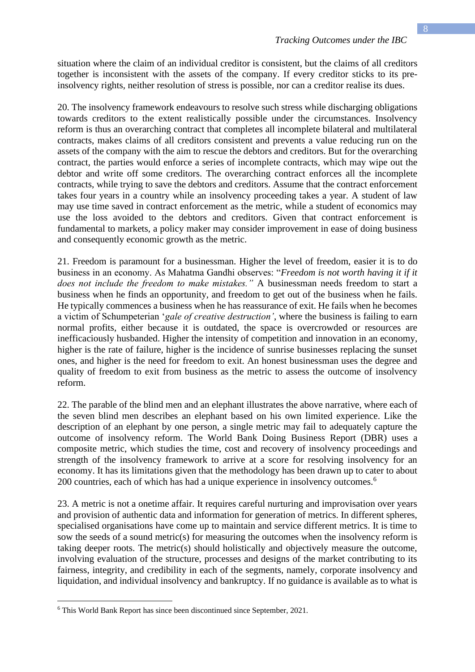situation where the claim of an individual creditor is consistent, but the claims of all creditors together is inconsistent with the assets of the company. If every creditor sticks to its preinsolvency rights, neither resolution of stress is possible, nor can a creditor realise its dues.

20. The insolvency framework endeavours to resolve such stress while discharging obligations towards creditors to the extent realistically possible under the circumstances. Insolvency reform is thus an overarching contract that completes all incomplete bilateral and multilateral contracts, makes claims of all creditors consistent and prevents a value reducing run on the assets of the company with the aim to rescue the debtors and creditors. But for the overarching contract, the parties would enforce a series of incomplete contracts, which may wipe out the debtor and write off some creditors. The overarching contract enforces all the incomplete contracts, while trying to save the debtors and creditors. Assume that the contract enforcement takes four years in a country while an insolvency proceeding takes a year. A student of law may use time saved in contract enforcement as the metric, while a student of economics may use the loss avoided to the debtors and creditors. Given that contract enforcement is fundamental to markets, a policy maker may consider improvement in ease of doing business and consequently economic growth as the metric.

21. Freedom is paramount for a businessman. Higher the level of freedom, easier it is to do business in an economy. As Mahatma Gandhi observes: "*Freedom is not worth having it if it does not include the freedom to make mistakes."* A businessman needs freedom to start a business when he finds an opportunity, and freedom to get out of the business when he fails. He typically commences a business when he has reassurance of exit. He fails when he becomes a victim of Schumpeterian '*gale of creative destruction'*, where the business is failing to earn normal profits, either because it is outdated, the space is overcrowded or resources are inefficaciously husbanded. Higher the intensity of competition and innovation in an economy, higher is the rate of failure, higher is the incidence of sunrise businesses replacing the sunset ones, and higher is the need for freedom to exit. An honest businessman uses the degree and quality of freedom to exit from business as the metric to assess the outcome of insolvency reform.

22. The parable of the blind men and an elephant illustrates the above narrative, where each of the seven blind men describes an elephant based on his own limited experience. Like the description of an elephant by one person, a single metric may fail to adequately capture the outcome of insolvency reform. The World Bank Doing Business Report (DBR) uses a composite metric, which studies the time, cost and recovery of insolvency proceedings and strength of the insolvency framework to arrive at a score for resolving insolvency for an economy. It has its limitations given that the methodology has been drawn up to cater to about 200 countries, each of which has had a unique experience in insolvency outcomes.<sup>6</sup>

23. A metric is not a onetime affair. It requires careful nurturing and improvisation over years and provision of authentic data and information for generation of metrics. In different spheres, specialised organisations have come up to maintain and service different metrics. It is time to sow the seeds of a sound metric(s) for measuring the outcomes when the insolvency reform is taking deeper roots. The metric(s) should holistically and objectively measure the outcome, involving evaluation of the structure, processes and designs of the market contributing to its fairness, integrity, and credibility in each of the segments, namely, corporate insolvency and liquidation, and individual insolvency and bankruptcy. If no guidance is available as to what is

<sup>6</sup> This World Bank Report has since been discontinued since September, 2021.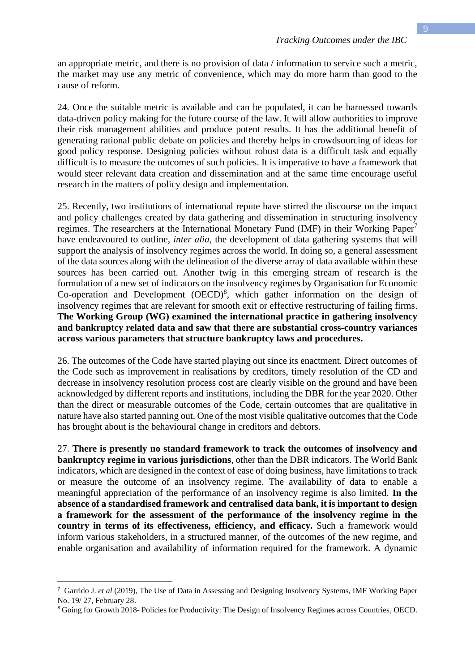an appropriate metric, and there is no provision of data / information to service such a metric, the market may use any metric of convenience, which may do more harm than good to the cause of reform.

24. Once the suitable metric is available and can be populated, it can be harnessed towards data-driven policy making for the future course of the law. It will allow authorities to improve their risk management abilities and produce potent results. It has the additional benefit of generating rational public debate on policies and thereby helps in crowdsourcing of ideas for good policy response. Designing policies without robust data is a difficult task and equally difficult is to measure the outcomes of such policies. It is imperative to have a framework that would steer relevant data creation and dissemination and at the same time encourage useful research in the matters of policy design and implementation.

25. Recently, two institutions of international repute have stirred the discourse on the impact and policy challenges created by data gathering and dissemination in structuring insolvency regimes. The researchers at the International Monetary Fund (IMF) in their Working Paper<sup>7</sup> have endeavoured to outline, *inter alia,* the development of data gathering systems that will support the analysis of insolvency regimes across the world. In doing so, a general assessment of the data sources along with the delineation of the diverse array of data available within these sources has been carried out. Another twig in this emerging stream of research is the formulation of a new set of indicators on the insolvency regimes by Organisation for Economic Co-operation and Development (OECD) 8 , which gather information on the design of insolvency regimes that are relevant for smooth exit or effective restructuring of failing firms. **The Working Group (WG) examined the international practice in gathering insolvency and bankruptcy related data and saw that there are substantial cross-country variances across various parameters that structure bankruptcy laws and procedures.**

26. The outcomes of the Code have started playing out since its enactment. Direct outcomes of the Code such as improvement in realisations by creditors, timely resolution of the CD and decrease in insolvency resolution process cost are clearly visible on the ground and have been acknowledged by different reports and institutions, including the DBR for the year 2020. Other than the direct or measurable outcomes of the Code, certain outcomes that are qualitative in nature have also started panning out. One of the most visible qualitative outcomes that the Code has brought about is the behavioural change in creditors and debtors.

27. **There is presently no standard framework to track the outcomes of insolvency and bankruptcy regime in various jurisdictions**, other than the DBR indicators. The World Bank indicators, which are designed in the context of ease of doing business, have limitations to track or measure the outcome of an insolvency regime. The availability of data to enable a meaningful appreciation of the performance of an insolvency regime is also limited. **In the absence of a standardised framework and centralised data bank, it is important to design a framework for the assessment of the performance of the insolvency regime in the country in terms of its effectiveness, efficiency, and efficacy.** Such a framework would inform various stakeholders, in a structured manner, of the outcomes of the new regime, and enable organisation and availability of information required for the framework. A dynamic

<sup>7</sup> Garrido J. *et al* (2019), The Use of Data in Assessing and Designing Insolvency Systems, IMF Working Paper No. 19/ 27, February 28.

<sup>8</sup> Going for Growth 2018- Policies for Productivity: The Design of Insolvency Regimes across Countries, OECD.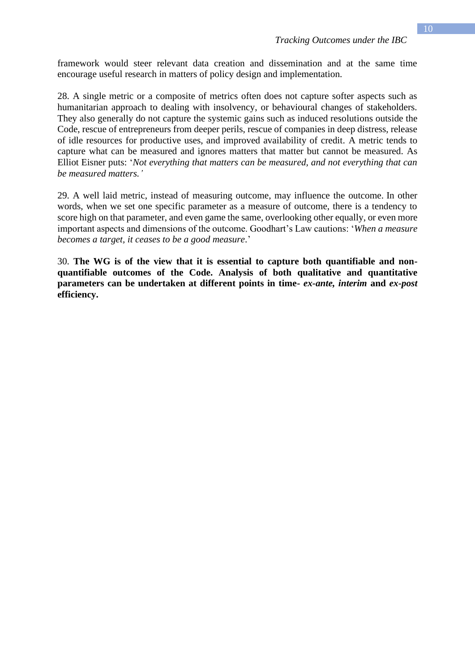framework would steer relevant data creation and dissemination and at the same time encourage useful research in matters of policy design and implementation.

28. A single metric or a composite of metrics often does not capture softer aspects such as humanitarian approach to dealing with insolvency, or behavioural changes of stakeholders. They also generally do not capture the systemic gains such as induced resolutions outside the Code, rescue of entrepreneurs from deeper perils, rescue of companies in deep distress, release of idle resources for productive uses, and improved availability of credit. A metric tends to capture what can be measured and ignores matters that matter but cannot be measured. As Elliot Eisner puts: '*Not everything that matters can be measured, and not everything that can be measured matters.'*

29. A well laid metric, instead of measuring outcome, may influence the outcome. In other words, when we set one specific parameter as a measure of outcome, there is a tendency to score high on that parameter, and even game the same, overlooking other equally, or even more important aspects and dimensions of the outcome. Goodhart's Law cautions: '*When a measure becomes a target, it ceases to be a good measure*.'

30. **The WG is of the view that it is essential to capture both quantifiable and nonquantifiable outcomes of the Code. Analysis of both qualitative and quantitative parameters can be undertaken at different points in time-** *ex-ante, interim* **and** *ex-post*  **efficiency.**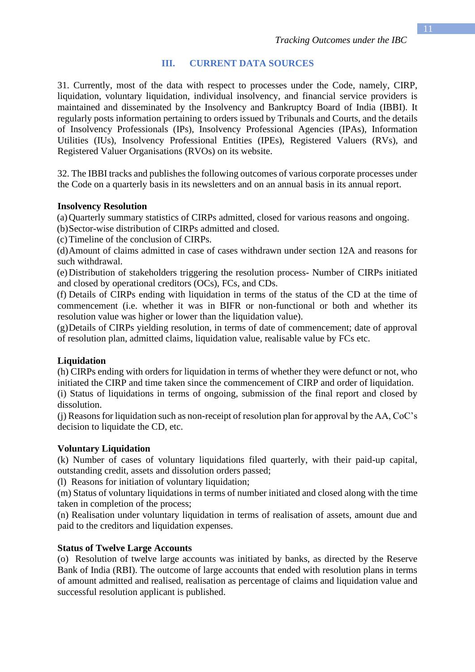### **III. CURRENT DATA SOURCES**

31. Currently, most of the data with respect to processes under the Code, namely, CIRP, liquidation, voluntary liquidation, individual insolvency, and financial service providers is maintained and disseminated by the Insolvency and Bankruptcy Board of India (IBBI). It regularly posts information pertaining to orders issued by Tribunals and Courts, and the details of Insolvency Professionals (IPs), Insolvency Professional Agencies (IPAs), Information Utilities (IUs), Insolvency Professional Entities (IPEs), Registered Valuers (RVs), and Registered Valuer Organisations (RVOs) on its website.

32. The IBBI tracks and publishes the following outcomes of various corporate processes under the Code on a quarterly basis in its newsletters and on an annual basis in its annual report.

#### **Insolvency Resolution**

(a)Quarterly summary statistics of CIRPs admitted, closed for various reasons and ongoing.

(b)Sector-wise distribution of CIRPs admitted and closed.

(c)Timeline of the conclusion of CIRPs.

(d)Amount of claims admitted in case of cases withdrawn under section 12A and reasons for such withdrawal.

(e)Distribution of stakeholders triggering the resolution process- Number of CIRPs initiated and closed by operational creditors (OCs), FCs, and CDs.

(f) Details of CIRPs ending with liquidation in terms of the status of the CD at the time of commencement (i.e. whether it was in BIFR or non-functional or both and whether its resolution value was higher or lower than the liquidation value).

(g)Details of CIRPs yielding resolution, in terms of date of commencement; date of approval of resolution plan, admitted claims, liquidation value, realisable value by FCs etc.

#### **Liquidation**

(h) CIRPs ending with orders for liquidation in terms of whether they were defunct or not, who initiated the CIRP and time taken since the commencement of CIRP and order of liquidation.

(i) Status of liquidations in terms of ongoing, submission of the final report and closed by dissolution.

(j) Reasons for liquidation such as non-receipt of resolution plan for approval by the AA, CoC's decision to liquidate the CD, etc.

#### **Voluntary Liquidation**

(k) Number of cases of voluntary liquidations filed quarterly, with their paid-up capital, outstanding credit, assets and dissolution orders passed;

(l) Reasons for initiation of voluntary liquidation;

(m) Status of voluntary liquidations in terms of number initiated and closed along with the time taken in completion of the process;

(n) Realisation under voluntary liquidation in terms of realisation of assets, amount due and paid to the creditors and liquidation expenses.

#### **Status of Twelve Large Accounts**

(o) Resolution of twelve large accounts was initiated by banks, as directed by the Reserve Bank of India (RBI). The outcome of large accounts that ended with resolution plans in terms of amount admitted and realised, realisation as percentage of claims and liquidation value and successful resolution applicant is published.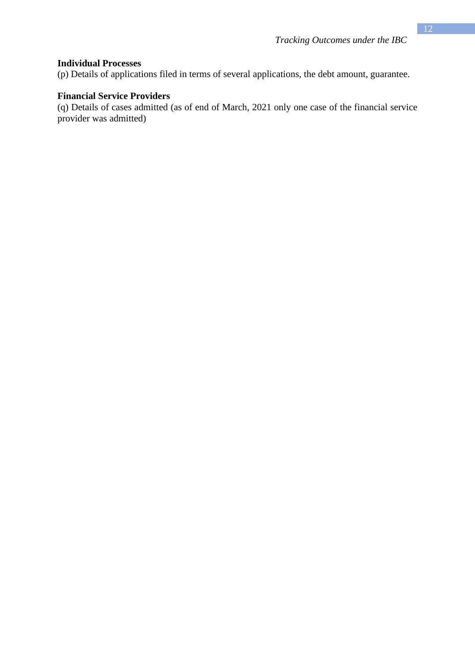#### **Individual Processes**

(p) Details of applications filed in terms of several applications, the debt amount, guarantee.

#### **Financial Service Providers**

(q) Details of cases admitted (as of end of March, 2021 only one case of the financial service provider was admitted)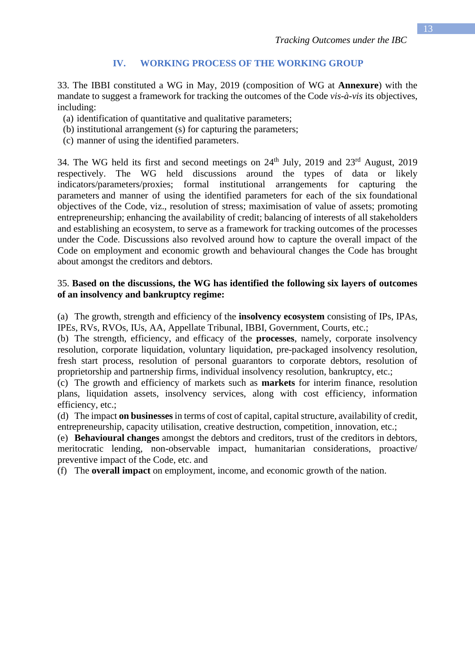#### **IV. WORKING PROCESS OF THE WORKING GROUP**

33. The IBBI constituted a WG in May, 2019 (composition of WG at **Annexure**) with the mandate to suggest a framework for tracking the outcomes of the Code *vis-à-vis* its objectives, including:

- (a) identification of quantitative and qualitative parameters;
- (b) institutional arrangement (s) for capturing the parameters;
- (c) manner of using the identified parameters.

34. The WG held its first and second meetings on  $24<sup>th</sup>$  July, 2019 and  $23<sup>rd</sup>$  August, 2019 respectively. The WG held discussions around the types of data or likely indicators/parameters/proxies; formal institutional arrangements for capturing the parameters and manner of using the identified parameters for each of the six foundational objectives of the Code, viz., resolution of stress; maximisation of value of assets; promoting entrepreneurship; enhancing the availability of credit; balancing of interests of all stakeholders and establishing an ecosystem, to serve as a framework for tracking outcomes of the processes under the Code. Discussions also revolved around how to capture the overall impact of the Code on employment and economic growth and behavioural changes the Code has brought about amongst the creditors and debtors.

#### 35. **Based on the discussions, the WG has identified the following six layers of outcomes of an insolvency and bankruptcy regime:**

(a) The growth, strength and efficiency of the **insolvency ecosystem** consisting of IPs, IPAs, IPEs, RVs, RVOs, IUs, AA, Appellate Tribunal, IBBI, Government, Courts, etc.;

(b) The strength, efficiency, and efficacy of the **processes**, namely, corporate insolvency resolution, corporate liquidation, voluntary liquidation, pre-packaged insolvency resolution, fresh start process, resolution of personal guarantors to corporate debtors, resolution of proprietorship and partnership firms, individual insolvency resolution, bankruptcy, etc.;

(c) The growth and efficiency of markets such as **markets** for interim finance, resolution plans, liquidation assets, insolvency services, along with cost efficiency, information efficiency, etc.;

(d) The impact **on businesses** in terms of cost of capital, capital structure, availability of credit, entrepreneurship, capacity utilisation, creative destruction, competition innovation, etc.;

(e) **Behavioural changes** amongst the debtors and creditors, trust of the creditors in debtors, meritocratic lending, non-observable impact, humanitarian considerations, proactive/ preventive impact of the Code, etc. and

(f) The **overall impact** on employment, income, and economic growth of the nation.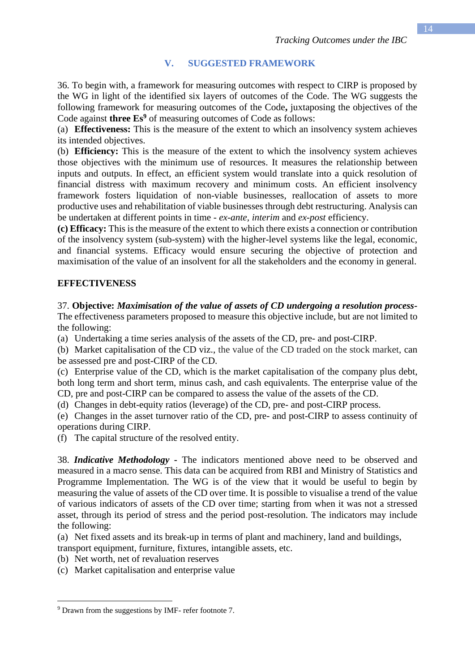# **V. SUGGESTED FRAMEWORK**

36. To begin with, a framework for measuring outcomes with respect to CIRP is proposed by the WG in light of the identified six layers of outcomes of the Code. The WG suggests the following framework for measuring outcomes of the Code**,** juxtaposing the objectives of the Code against **three Es<sup>9</sup>** of measuring outcomes of Code as follows:

(a) **Effectiveness:** This is the measure of the extent to which an insolvency system achieves its intended objectives.

(b) **Efficiency:** This is the measure of the extent to which the insolvency system achieves those objectives with the minimum use of resources. It measures the relationship between inputs and outputs. In effect, an efficient system would translate into a quick resolution of financial distress with maximum recovery and minimum costs. An efficient insolvency framework fosters liquidation of non-viable businesses, reallocation of assets to more productive uses and rehabilitation of viable businesses through debt restructuring. Analysis can be undertaken at different points in time - *ex-ante, interim* and *ex-post* efficiency.

**(c) Efficacy:** This is the measure of the extent to which there exists a connection or contribution of the insolvency system (sub-system) with the higher-level systems like the legal, economic, and financial systems. Efficacy would ensure securing the objective of protection and maximisation of the value of an insolvent for all the stakeholders and the economy in general.

## **EFFECTIVENESS**

#### 37. **Objective:** *Maximisation of the value of assets of CD undergoing a resolution process-*The effectiveness parameters proposed to measure this objective include, but are not limited to the following:

(a) Undertaking a time series analysis of the assets of the CD, pre- and post-CIRP.

(b) Market capitalisation of the CD viz., the value of the CD traded on the stock market, can be assessed pre and post-CIRP of the CD.

(c) Enterprise value of the CD, which is the market capitalisation of the company plus debt, both long term and short term, minus cash, and cash equivalents. The enterprise value of the CD, pre and post-CIRP can be compared to assess the value of the assets of the CD.

(d) Changes in debt-equity ratios (leverage) of the CD, pre- and post-CIRP process.

(e) Changes in the asset turnover ratio of the CD, pre- and post-CIRP to assess continuity of operations during CIRP.

(f) The capital structure of the resolved entity.

38. *Indicative Methodology* **-** The indicators mentioned above need to be observed and measured in a macro sense. This data can be acquired from RBI and Ministry of Statistics and Programme Implementation. The WG is of the view that it would be useful to begin by measuring the value of assets of the CD over time. It is possible to visualise a trend of the value of various indicators of assets of the CD over time; starting from when it was not a stressed asset, through its period of stress and the period post-resolution. The indicators may include the following:

(a) Net fixed assets and its break-up in terms of plant and machinery, land and buildings, transport equipment, furniture, fixtures, intangible assets, etc.

- (b) Net worth, net of revaluation reserves
- (c) Market capitalisation and enterprise value

<sup>9</sup> Drawn from the suggestions by IMF- refer footnote 7.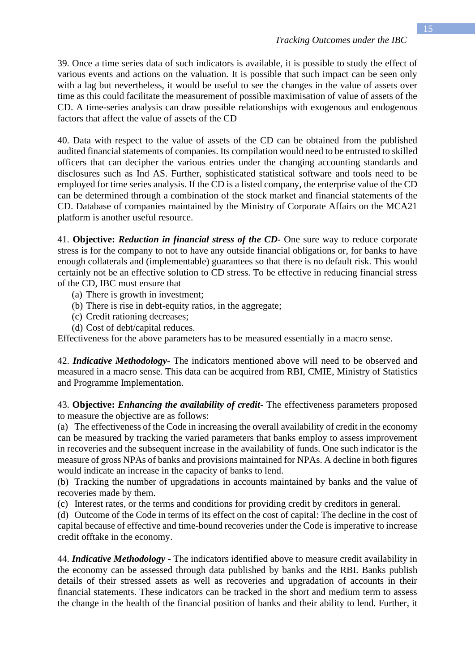39. Once a time series data of such indicators is available, it is possible to study the effect of various events and actions on the valuation. It is possible that such impact can be seen only with a lag but nevertheless, it would be useful to see the changes in the value of assets over time as this could facilitate the measurement of possible maximisation of value of assets of the CD. A time-series analysis can draw possible relationships with exogenous and endogenous factors that affect the value of assets of the CD

40. Data with respect to the value of assets of the CD can be obtained from the published audited financial statements of companies. Its compilation would need to be entrusted to skilled officers that can decipher the various entries under the changing accounting standards and disclosures such as Ind AS. Further, sophisticated statistical software and tools need to be employed for time series analysis. If the CD is a listed company, the enterprise value of the CD can be determined through a combination of the stock market and financial statements of the CD. Database of companies maintained by the Ministry of Corporate Affairs on the MCA21 platform is another useful resource.

41. **Objective:** *Reduction in financial stress of the CD-* One sure way to reduce corporate stress is for the company to not to have any outside financial obligations or, for banks to have enough collaterals and (implementable) guarantees so that there is no default risk. This would certainly not be an effective solution to CD stress. To be effective in reducing financial stress of the CD, IBC must ensure that

- (a) There is growth in investment;
- (b) There is rise in debt-equity ratios, in the aggregate;
- (c) Credit rationing decreases;
- (d) Cost of debt/capital reduces.

Effectiveness for the above parameters has to be measured essentially in a macro sense.

42. *Indicative Methodology*- The indicators mentioned above will need to be observed and measured in a macro sense. This data can be acquired from RBI, CMIE, Ministry of Statistics and Programme Implementation.

43. **Objective:** *Enhancing the availability of credit***-** The effectiveness parameters proposed to measure the objective are as follows:

(a) The effectiveness of the Code in increasing the overall availability of credit in the economy can be measured by tracking the varied parameters that banks employ to assess improvement in recoveries and the subsequent increase in the availability of funds. One such indicator is the measure of gross NPAs of banks and provisions maintained for NPAs. A decline in both figures would indicate an increase in the capacity of banks to lend.

(b) Tracking the number of upgradations in accounts maintained by banks and the value of recoveries made by them.

(c) Interest rates, or the terms and conditions for providing credit by creditors in general.

(d) Outcome of the Code in terms of its effect on the cost of capital: The decline in the cost of capital because of effective and time-bound recoveries under the Code is imperative to increase credit offtake in the economy.

44. *Indicative Methodology* **-** The indicators identified above to measure credit availability in the economy can be assessed through data published by banks and the RBI. Banks publish details of their stressed assets as well as recoveries and upgradation of accounts in their financial statements. These indicators can be tracked in the short and medium term to assess the change in the health of the financial position of banks and their ability to lend. Further, it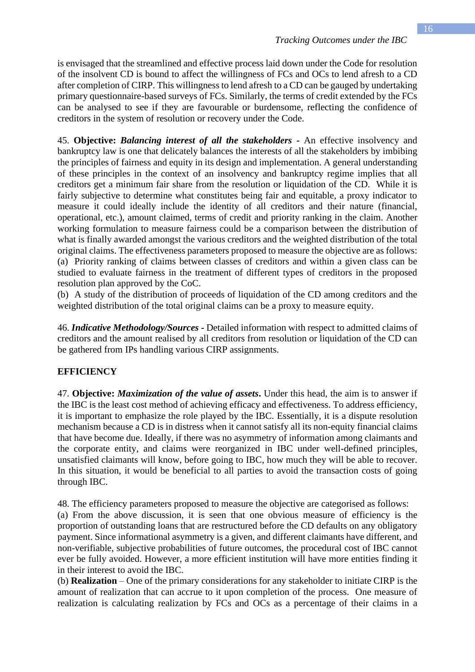is envisaged that the streamlined and effective process laid down under the Code for resolution of the insolvent CD is bound to affect the willingness of FCs and OCs to lend afresh to a CD after completion of CIRP. This willingness to lend afresh to a CD can be gauged by undertaking primary questionnaire-based surveys of FCs. Similarly, the terms of credit extended by the FCs can be analysed to see if they are favourable or burdensome, reflecting the confidence of creditors in the system of resolution or recovery under the Code.

45. **Objective:** *Balancing interest of all the stakeholders* **-** An effective insolvency and bankruptcy law is one that delicately balances the interests of all the stakeholders by imbibing the principles of fairness and equity in its design and implementation. A general understanding of these principles in the context of an insolvency and bankruptcy regime implies that all creditors get a minimum fair share from the resolution or liquidation of the CD. While it is fairly subjective to determine what constitutes being fair and equitable, a proxy indicator to measure it could ideally include the identity of all creditors and their nature (financial, operational, etc.), amount claimed, terms of credit and priority ranking in the claim. Another working formulation to measure fairness could be a comparison between the distribution of what is finally awarded amongst the various creditors and the weighted distribution of the total original claims. The effectiveness parameters proposed to measure the objective are as follows: (a) Priority ranking of claims between classes of creditors and within a given class can be studied to evaluate fairness in the treatment of different types of creditors in the proposed resolution plan approved by the CoC.

(b) A study of the distribution of proceeds of liquidation of the CD among creditors and the weighted distribution of the total original claims can be a proxy to measure equity.

46. *Indicative Methodology/Sources* **-** Detailed information with respect to admitted claims of creditors and the amount realised by all creditors from resolution or liquidation of the CD can be gathered from IPs handling various CIRP assignments.

#### **EFFICIENCY**

47. **Objective:** *Maximization of the value of assets***.** Under this head, the aim is to answer if the IBC is the least cost method of achieving efficacy and effectiveness. To address efficiency, it is important to emphasize the role played by the IBC. Essentially, it is a dispute resolution mechanism because a CD is in distress when it cannot satisfy all its non-equity financial claims that have become due. Ideally, if there was no asymmetry of information among claimants and the corporate entity, and claims were reorganized in IBC under well-defined principles, unsatisfied claimants will know, before going to IBC, how much they will be able to recover. In this situation, it would be beneficial to all parties to avoid the transaction costs of going through IBC.

48. The efficiency parameters proposed to measure the objective are categorised as follows:

(a) From the above discussion, it is seen that one obvious measure of efficiency is the proportion of outstanding loans that are restructured before the CD defaults on any obligatory payment. Since informational asymmetry is a given, and different claimants have different, and non-verifiable, subjective probabilities of future outcomes, the procedural cost of IBC cannot ever be fully avoided. However, a more efficient institution will have more entities finding it in their interest to avoid the IBC.

(b) **Realization** – One of the primary considerations for any stakeholder to initiate CIRP is the amount of realization that can accrue to it upon completion of the process. One measure of realization is calculating realization by FCs and OCs as a percentage of their claims in a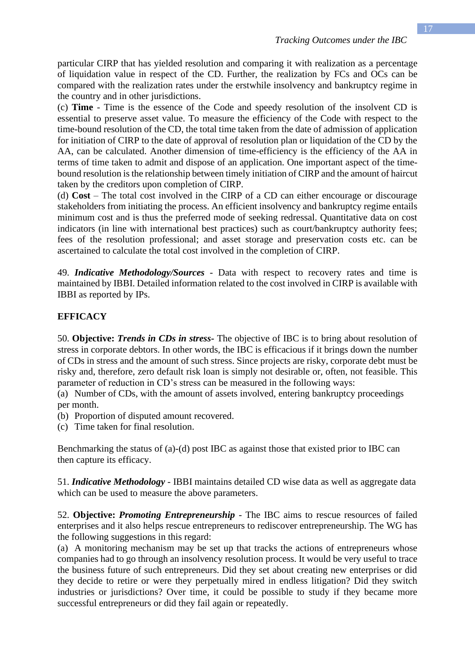particular CIRP that has yielded resolution and comparing it with realization as a percentage of liquidation value in respect of the CD. Further, the realization by FCs and OCs can be compared with the realization rates under the erstwhile insolvency and bankruptcy regime in the country and in other jurisdictions.

(c) **Time** - Time is the essence of the Code and speedy resolution of the insolvent CD is essential to preserve asset value. To measure the efficiency of the Code with respect to the time-bound resolution of the CD, the total time taken from the date of admission of application for initiation of CIRP to the date of approval of resolution plan or liquidation of the CD by the AA, can be calculated. Another dimension of time-efficiency is the efficiency of the AA in terms of time taken to admit and dispose of an application. One important aspect of the timebound resolution is the relationship between timely initiation of CIRP and the amount of haircut taken by the creditors upon completion of CIRP.

(d) **Cost** – The total cost involved in the CIRP of a CD can either encourage or discourage stakeholders from initiating the process. An efficient insolvency and bankruptcy regime entails minimum cost and is thus the preferred mode of seeking redressal. Quantitative data on cost indicators (in line with international best practices) such as court/bankruptcy authority fees; fees of the resolution professional; and asset storage and preservation costs etc. can be ascertained to calculate the total cost involved in the completion of CIRP.

49. *Indicative Methodology/Sources* - Data with respect to recovery rates and time is maintained by IBBI. Detailed information related to the cost involved in CIRP is available with IBBI as reported by IPs.

## **EFFICACY**

50. **Objective:** *Trends in CDs in stress-* The objective of IBC is to bring about resolution of stress in corporate debtors. In other words, the IBC is efficacious if it brings down the number of CDs in stress and the amount of such stress. Since projects are risky, corporate debt must be risky and, therefore, zero default risk loan is simply not desirable or, often, not feasible. This parameter of reduction in CD's stress can be measured in the following ways:

(a) Number of CDs, with the amount of assets involved, entering bankruptcy proceedings per month.

- (b) Proportion of disputed amount recovered.
- (c) Time taken for final resolution.

Benchmarking the status of (a)-(d) post IBC as against those that existed prior to IBC can then capture its efficacy.

51. *Indicative Methodology -* IBBI maintains detailed CD wise data as well as aggregate data which can be used to measure the above parameters.

52. **Objective:** *Promoting Entrepreneurship* - The IBC aims to rescue resources of failed enterprises and it also helps rescue entrepreneurs to rediscover entrepreneurship. The WG has the following suggestions in this regard:

(a) A monitoring mechanism may be set up that tracks the actions of entrepreneurs whose companies had to go through an insolvency resolution process. It would be very useful to trace the business future of such entrepreneurs. Did they set about creating new enterprises or did they decide to retire or were they perpetually mired in endless litigation? Did they switch industries or jurisdictions? Over time, it could be possible to study if they became more successful entrepreneurs or did they fail again or repeatedly.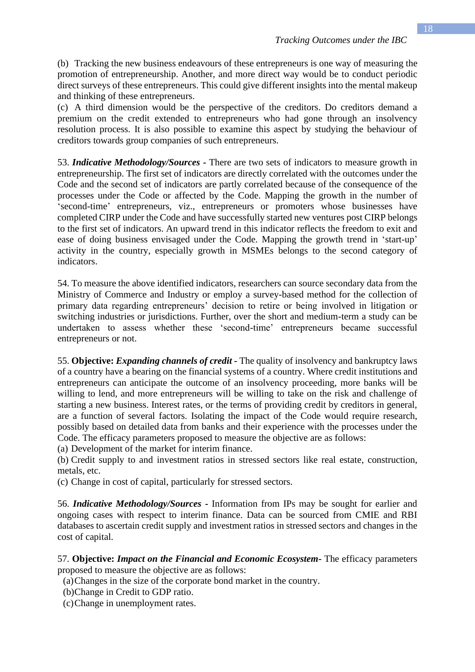(b) Tracking the new business endeavours of these entrepreneurs is one way of measuring the promotion of entrepreneurship. Another, and more direct way would be to conduct periodic direct surveys of these entrepreneurs. This could give different insights into the mental makeup and thinking of these entrepreneurs.

(c) A third dimension would be the perspective of the creditors. Do creditors demand a premium on the credit extended to entrepreneurs who had gone through an insolvency resolution process. It is also possible to examine this aspect by studying the behaviour of creditors towards group companies of such entrepreneurs.

53. *Indicative Methodology/Sources* **-** There are two sets of indicators to measure growth in entrepreneurship. The first set of indicators are directly correlated with the outcomes under the Code and the second set of indicators are partly correlated because of the consequence of the processes under the Code or affected by the Code. Mapping the growth in the number of 'second-time' entrepreneurs, viz., entrepreneurs or promoters whose businesses have completed CIRP under the Code and have successfully started new ventures post CIRP belongs to the first set of indicators. An upward trend in this indicator reflects the freedom to exit and ease of doing business envisaged under the Code. Mapping the growth trend in 'start-up' activity in the country, especially growth in MSMEs belongs to the second category of indicators.

54. To measure the above identified indicators, researchers can source secondary data from the Ministry of Commerce and Industry or employ a survey-based method for the collection of primary data regarding entrepreneurs' decision to retire or being involved in litigation or switching industries or jurisdictions. Further, over the short and medium-term a study can be undertaken to assess whether these 'second-time' entrepreneurs became successful entrepreneurs or not.

55. **Objective:** *Expanding channels of credit -* The quality of insolvency and bankruptcy laws of a country have a bearing on the financial systems of a country. Where credit institutions and entrepreneurs can anticipate the outcome of an insolvency proceeding, more banks will be willing to lend, and more entrepreneurs will be willing to take on the risk and challenge of starting a new business. Interest rates, or the terms of providing credit by creditors in general, are a function of several factors. Isolating the impact of the Code would require research, possibly based on detailed data from banks and their experience with the processes under the Code. The efficacy parameters proposed to measure the objective are as follows:

(a) Development of the market for interim finance.

(b) Credit supply to and investment ratios in stressed sectors like real estate, construction, metals, etc.

(c) Change in cost of capital, particularly for stressed sectors.

56. *Indicative Methodology/Sources* **-** Information from IPs may be sought for earlier and ongoing cases with respect to interim finance. Data can be sourced from CMIE and RBI databases to ascertain credit supply and investment ratios in stressed sectors and changes in the cost of capital.

57. **Objective:** *Impact on the Financial and Economic Ecosystem***-** The efficacy parameters proposed to measure the objective are as follows:

(a)Changes in the size of the corporate bond market in the country.

(b)Change in Credit to GDP ratio.

(c)Change in unemployment rates.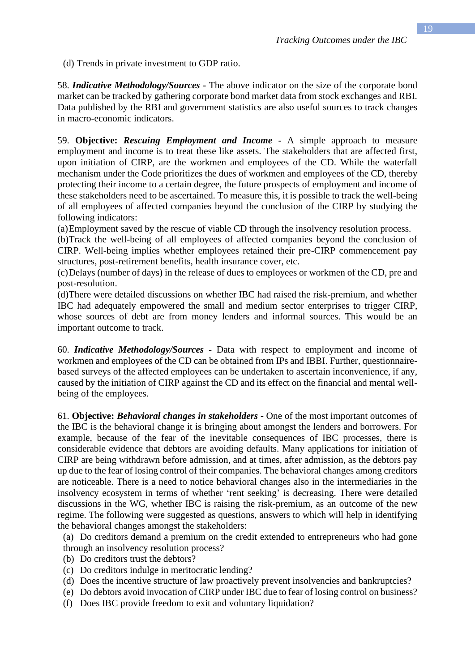58. *Indicative Methodology/Sources* **-** The above indicator on the size of the corporate bond market can be tracked by gathering corporate bond market data from stock exchanges and RBI. Data published by the RBI and government statistics are also useful sources to track changes in macro-economic indicators.

59. **Objective:** *Rescuing Employment and Income* **-** A simple approach to measure employment and income is to treat these like assets. The stakeholders that are affected first, upon initiation of CIRP, are the workmen and employees of the CD. While the waterfall mechanism under the Code prioritizes the dues of workmen and employees of the CD, thereby protecting their income to a certain degree, the future prospects of employment and income of these stakeholders need to be ascertained. To measure this, it is possible to track the well-being of all employees of affected companies beyond the conclusion of the CIRP by studying the following indicators:

(a)Employment saved by the rescue of viable CD through the insolvency resolution process.

(b)Track the well-being of all employees of affected companies beyond the conclusion of CIRP. Well-being implies whether employees retained their pre-CIRP commencement pay structures, post-retirement benefits, health insurance cover, etc.

(c)Delays (number of days) in the release of dues to employees or workmen of the CD, pre and post-resolution.

(d)There were detailed discussions on whether IBC had raised the risk-premium, and whether IBC had adequately empowered the small and medium sector enterprises to trigger CIRP, whose sources of debt are from money lenders and informal sources. This would be an important outcome to track.

60. *Indicative Methodology/Sources* **-** Data with respect to employment and income of workmen and employees of the CD can be obtained from IPs and IBBI. Further, questionnairebased surveys of the affected employees can be undertaken to ascertain inconvenience, if any, caused by the initiation of CIRP against the CD and its effect on the financial and mental wellbeing of the employees.

61. **Objective:** *Behavioral changes in stakeholders -* One of the most important outcomes of the IBC is the behavioral change it is bringing about amongst the lenders and borrowers. For example, because of the fear of the inevitable consequences of IBC processes, there is considerable evidence that debtors are avoiding defaults. Many applications for initiation of CIRP are being withdrawn before admission, and at times, after admission, as the debtors pay up due to the fear of losing control of their companies. The behavioral changes among creditors are noticeable. There is a need to notice behavioral changes also in the intermediaries in the insolvency ecosystem in terms of whether 'rent seeking' is decreasing. There were detailed discussions in the WG, whether IBC is raising the risk-premium, as an outcome of the new regime. The following were suggested as questions, answers to which will help in identifying the behavioral changes amongst the stakeholders:

(a) Do creditors demand a premium on the credit extended to entrepreneurs who had gone through an insolvency resolution process?

- (b) Do creditors trust the debtors?
- (c) Do creditors indulge in meritocratic lending?
- (d) Does the incentive structure of law proactively prevent insolvencies and bankruptcies?
- (e) Do debtors avoid invocation of CIRP under IBC due to fear of losing control on business?
- (f) Does IBC provide freedom to exit and voluntary liquidation?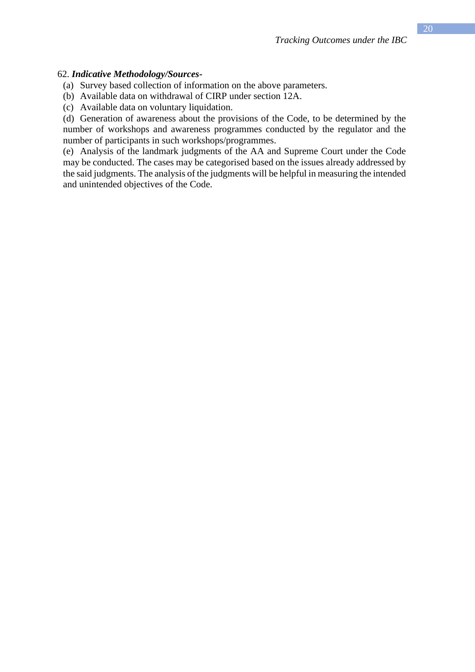#### 62. *Indicative Methodology/Sources***-**

- (a) Survey based collection of information on the above parameters.
- (b) Available data on withdrawal of CIRP under section 12A.
- (c) Available data on voluntary liquidation.

(d) Generation of awareness about the provisions of the Code, to be determined by the number of workshops and awareness programmes conducted by the regulator and the number of participants in such workshops/programmes.

(e) Analysis of the landmark judgments of the AA and Supreme Court under the Code may be conducted. The cases may be categorised based on the issues already addressed by the said judgments. The analysis of the judgments will be helpful in measuring the intended and unintended objectives of the Code.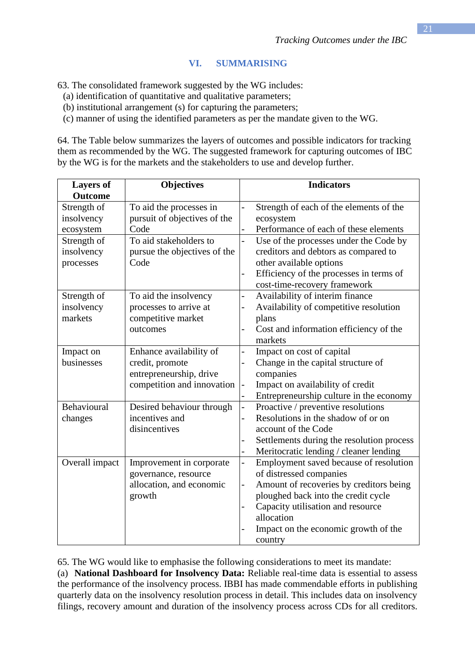## **VI. SUMMARISING**

63. The consolidated framework suggested by the WG includes:

(a) identification of quantitative and qualitative parameters;

(b) institutional arrangement (s) for capturing the parameters;

(c) manner of using the identified parameters as per the mandate given to the WG.

64. The Table below summarizes the layers of outcomes and possible indicators for tracking them as recommended by the WG. The suggested framework for capturing outcomes of IBC by the WG is for the markets and the stakeholders to use and develop further.

| <b>Layers of</b> | <b>Objectives</b>            |                          | <b>Indicators</b>                         |
|------------------|------------------------------|--------------------------|-------------------------------------------|
| <b>Outcome</b>   |                              |                          |                                           |
| Strength of      | To aid the processes in      | $\overline{a}$           | Strength of each of the elements of the   |
| insolvency       | pursuit of objectives of the |                          | ecosystem                                 |
| ecosystem        | Code                         |                          | Performance of each of these elements     |
| Strength of      | To aid stakeholders to       | $\overline{a}$           | Use of the processes under the Code by    |
| insolvency       | pursue the objectives of the |                          | creditors and debtors as compared to      |
| processes        | Code                         |                          | other available options                   |
|                  |                              | -                        | Efficiency of the processes in terms of   |
|                  |                              |                          | cost-time-recovery framework              |
| Strength of      | To aid the insolvency        | $\overline{\phantom{0}}$ | Availability of interim finance           |
| insolvency       | processes to arrive at       | $\overline{a}$           | Availability of competitive resolution    |
| markets          | competitive market           |                          | plans                                     |
|                  | outcomes                     |                          | Cost and information efficiency of the    |
|                  |                              |                          | markets                                   |
| Impact on        | Enhance availability of      | $\overline{a}$           | Impact on cost of capital                 |
| businesses       | credit, promote              |                          | Change in the capital structure of        |
|                  | entrepreneurship, drive      |                          | companies                                 |
|                  | competition and innovation   | $\qquad \qquad -$        | Impact on availability of credit          |
|                  |                              | $\overline{a}$           | Entrepreneurship culture in the economy   |
| Behavioural      | Desired behaviour through    | $\overline{\phantom{0}}$ | Proactive / preventive resolutions        |
| changes          | incentives and               | -                        | Resolutions in the shadow of or on        |
|                  | disincentives                |                          | account of the Code                       |
|                  |                              |                          | Settlements during the resolution process |
|                  |                              | -                        | Meritocratic lending / cleaner lending    |
| Overall impact   | Improvement in corporate     | $\overline{\phantom{0}}$ | Employment saved because of resolution    |
|                  | governance, resource         |                          | of distressed companies                   |
|                  | allocation, and economic     | $\overline{a}$           | Amount of recoveries by creditors being   |
|                  | growth                       |                          | ploughed back into the credit cycle       |
|                  |                              | -                        | Capacity utilisation and resource         |
|                  |                              |                          | allocation                                |
|                  |                              |                          | Impact on the economic growth of the      |
|                  |                              |                          | country                                   |

65. The WG would like to emphasise the following considerations to meet its mandate:

(a) **National Dashboard for Insolvency Data:** Reliable real-time data is essential to assess the performance of the insolvency process. IBBI has made commendable efforts in publishing quarterly data on the insolvency resolution process in detail. This includes data on insolvency filings, recovery amount and duration of the insolvency process across CDs for all creditors.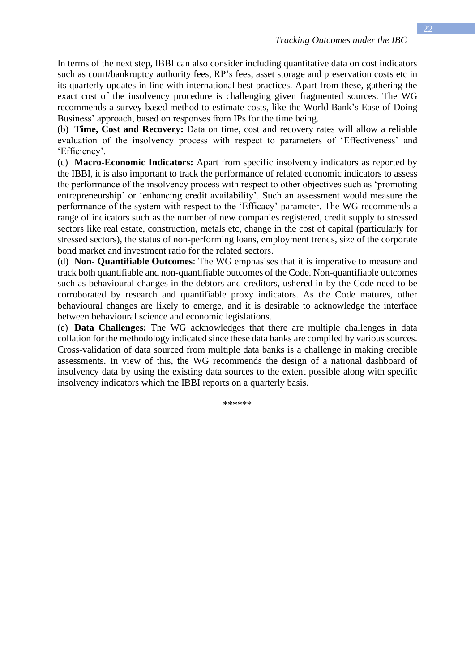In terms of the next step, IBBI can also consider including quantitative data on cost indicators such as court/bankruptcy authority fees, RP's fees, asset storage and preservation costs etc in its quarterly updates in line with international best practices. Apart from these, gathering the exact cost of the insolvency procedure is challenging given fragmented sources. The WG recommends a survey-based method to estimate costs, like the World Bank's Ease of Doing Business' approach, based on responses from IPs for the time being.

(b) **Time, Cost and Recovery:** Data on time, cost and recovery rates will allow a reliable evaluation of the insolvency process with respect to parameters of 'Effectiveness' and 'Efficiency'.

(c) **Macro-Economic Indicators:** Apart from specific insolvency indicators as reported by the IBBI, it is also important to track the performance of related economic indicators to assess the performance of the insolvency process with respect to other objectives such as 'promoting entrepreneurship' or 'enhancing credit availability'. Such an assessment would measure the performance of the system with respect to the 'Efficacy' parameter. The WG recommends a range of indicators such as the number of new companies registered, credit supply to stressed sectors like real estate, construction, metals etc, change in the cost of capital (particularly for stressed sectors), the status of non-performing loans, employment trends, size of the corporate bond market and investment ratio for the related sectors.

(d) **Non- Quantifiable Outcomes**: The WG emphasises that it is imperative to measure and track both quantifiable and non-quantifiable outcomes of the Code. Non-quantifiable outcomes such as behavioural changes in the debtors and creditors, ushered in by the Code need to be corroborated by research and quantifiable proxy indicators. As the Code matures, other behavioural changes are likely to emerge, and it is desirable to acknowledge the interface between behavioural science and economic legislations.

(e) **Data Challenges:** The WG acknowledges that there are multiple challenges in data collation for the methodology indicated since these data banks are compiled by various sources. Cross-validation of data sourced from multiple data banks is a challenge in making credible assessments. In view of this, the WG recommends the design of a national dashboard of insolvency data by using the existing data sources to the extent possible along with specific insolvency indicators which the IBBI reports on a quarterly basis.

\*\*\*\*\*\*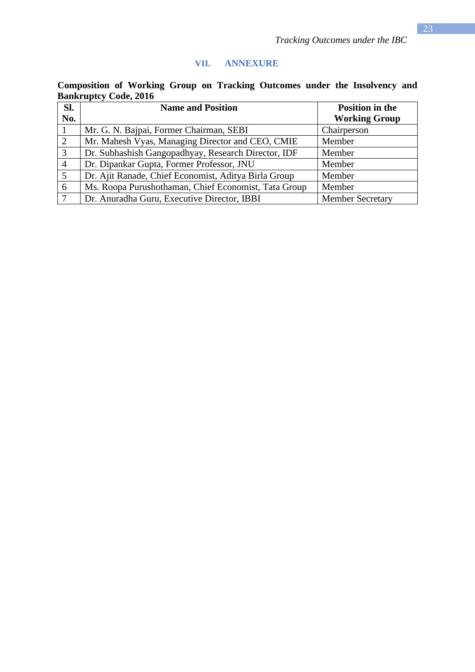# **VII. ANNEXURE**

| Composition of Working Group on Tracking Outcomes under the Insolvency and |  |  |  |  |  |
|----------------------------------------------------------------------------|--|--|--|--|--|
| <b>Bankruptcy Code, 2016</b>                                               |  |  |  |  |  |

| SI.            | <b>Name and Position</b>                             | <b>Position in the</b>  |  |  |
|----------------|------------------------------------------------------|-------------------------|--|--|
| No.            |                                                      | <b>Working Group</b>    |  |  |
|                | Mr. G. N. Bajpai, Former Chairman, SEBI              | Chairperson             |  |  |
| 2              | Mr. Mahesh Vyas, Managing Director and CEO, CMIE     | Member                  |  |  |
| 3              | Dr. Subhashish Gangopadhyay, Research Director, IDF  | Member                  |  |  |
| $\overline{4}$ | Dr. Dipankar Gupta, Former Professor, JNU            | Member                  |  |  |
| 5              | Dr. Ajit Ranade, Chief Economist, Aditya Birla Group | Member                  |  |  |
| 6              | Ms. Roopa Purushothaman, Chief Economist, Tata Group | Member                  |  |  |
|                | Dr. Anuradha Guru, Executive Director, IBBI          | <b>Member Secretary</b> |  |  |